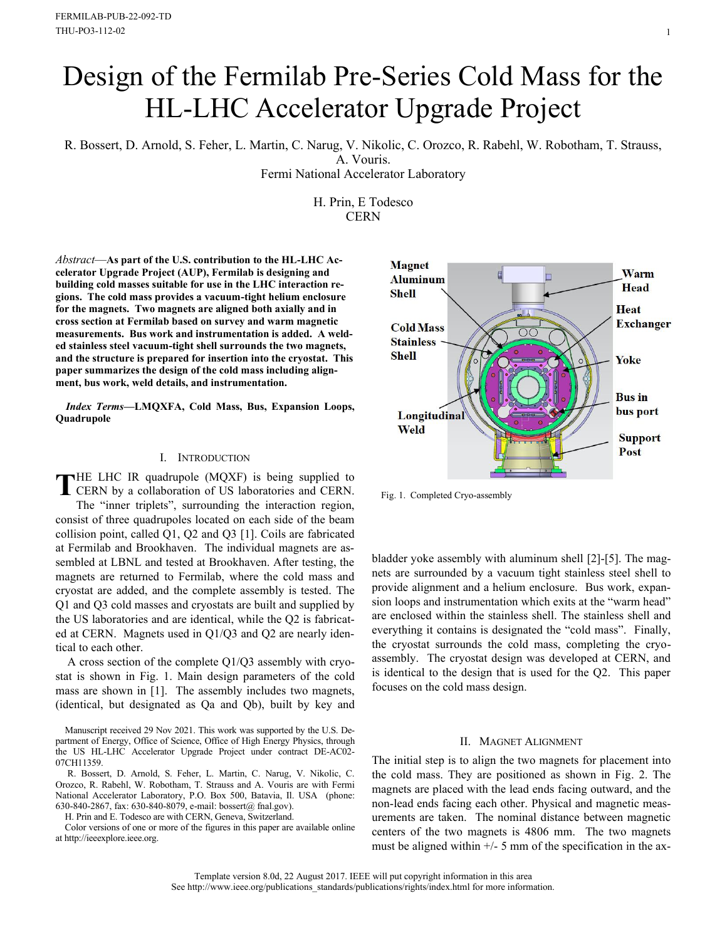# Design of the Fermilab Pre-Series Cold Mass for the HL-LHC Accelerator Upgrade Project

R. Bossert, D. Arnold, S. Feher, L. Martin, C. Narug, V. Nikolic, C. Orozco, R. Rabehl, W. Robotham, T. Strauss, A. Vouris.

Fermi National Accelerator Laboratory

H. Prin, E Todesco **CERN** 

*Abstract*—**As part of the U.S. contribution to the HL-LHC Accelerator Upgrade Project (AUP), Fermilab is designing and building cold masses suitable for use in the LHC interaction regions. The cold mass provides a vacuum-tight helium enclosure for the magnets. Two magnets are aligned both axially and in cross section at Fermilab based on survey and warm magnetic measurements. Bus work and instrumentation is added. A welded stainless steel vacuum-tight shell surrounds the two magnets, and the structure is prepared for insertion into the cryostat. This paper summarizes the design of the cold mass including alignment, bus work, weld details, and instrumentation.**

*Index Terms***—LMQXFA, Cold Mass, Bus, Expansion Loops, Quadrupole**

# I. INTRODUCTION

HE LHC IR quadrupole (MQXF) is being supplied to THE LHC IR quadrupole (MQXF) is being supplied to<br>CERN by a collaboration of US laboratories and CERN. The "inner triplets", surrounding the interaction region, consist of three quadrupoles located on each side of the beam collision point, called Q1, Q2 and Q3 [1]. Coils are fabricated at Fermilab and Brookhaven. The individual magnets are assembled at LBNL and tested at Brookhaven. After testing, the magnets are returned to Fermilab, where the cold mass and cryostat are added, and the complete assembly is tested. The Q1 and Q3 cold masses and cryostats are built and supplied by the US laboratories and are identical, while the Q2 is fabricated at CERN. Magnets used in Q1/Q3 and Q2 are nearly identical to each other.

A cross section of the complete Q1/Q3 assembly with cryostat is shown in Fig. 1. Main design parameters of the cold mass are shown in [1]. The assembly includes two magnets, (identical, but designated as Qa and Qb), built by key and

Manuscript received 29 Nov 2021. This work was supported by the U.S. Department of Energy, Office of Science, Office of High Energy Physics, through the US HL-LHC Accelerator Upgrade Project under contract DE-AC02- 07CH11359.

R. Bossert, D. Arnold, S. Feher, L. Martin, C. Narug, V. Nikolic, C. Orozco, R. Rabehl, W. Robotham, T. Strauss and A. Vouris are with Fermi National Accelerator Laboratory, P.O. Box 500, Batavia, Il. USA (phone: 630-840-2867, fax: 630-840-8079, e-mail: bossert@ fnal.gov).

H. Prin and E. Todesco are with CERN, Geneva, Switzerland.

Color versions of one or more of the figures in this paper are available online at http://ieeexplore.ieee.org.



Fig. 1. Completed Cryo-assembly

bladder yoke assembly with aluminum shell [2]-[5]. The magnets are surrounded by a vacuum tight stainless steel shell to provide alignment and a helium enclosure. Bus work, expansion loops and instrumentation which exits at the "warm head" are enclosed within the stainless shell. The stainless shell and everything it contains is designated the "cold mass". Finally, the cryostat surrounds the cold mass, completing the cryoassembly. The cryostat design was developed at CERN, and is identical to the design that is used for the Q2. This paper focuses on the cold mass design.

# II. MAGNET ALIGNMENT

The initial step is to align the two magnets for placement into the cold mass. They are positioned as shown in Fig. 2. The magnets are placed with the lead ends facing outward, and the non-lead ends facing each other. Physical and magnetic measurements are taken. The nominal distance between magnetic centers of the two magnets is 4806 mm. The two magnets must be aligned within  $+/-$  5 mm of the specification in the ax-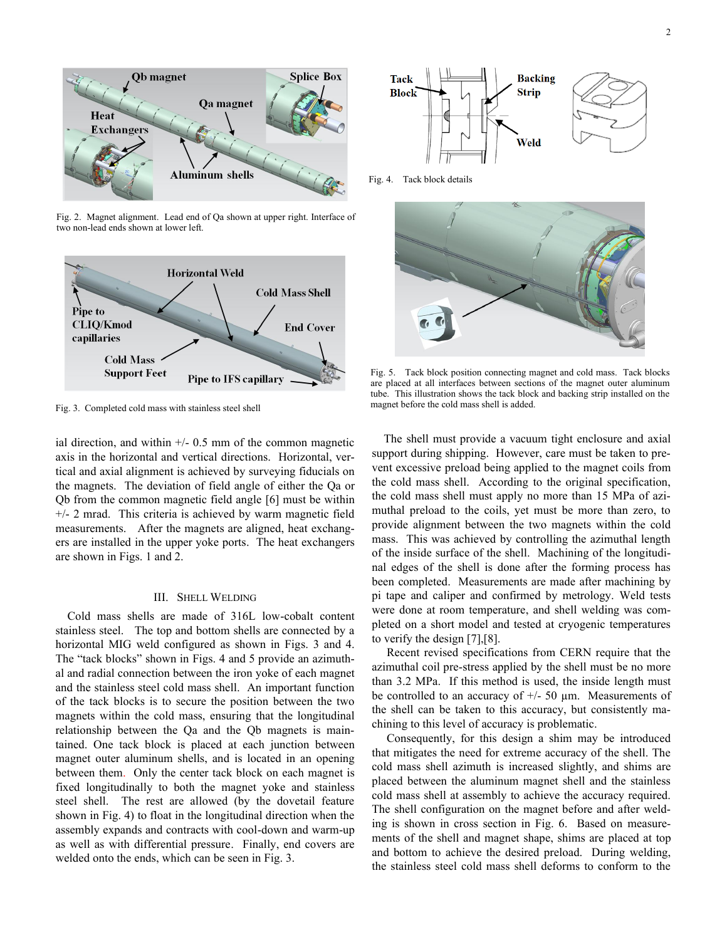

Fig. 2. Magnet alignment. Lead end of Qa shown at upper right. Interface of two non-lead ends shown at lower left.



Fig. 3. Completed cold mass with stainless steel shell

ial direction, and within  $+/- 0.5$  mm of the common magnetic axis in the horizontal and vertical directions. Horizontal, vertical and axial alignment is achieved by surveying fiducials on the magnets. The deviation of field angle of either the Qa or Qb from the common magnetic field angle [6] must be within +/- 2 mrad. This criteria is achieved by warm magnetic field measurements. After the magnets are aligned, heat exchangers are installed in the upper yoke ports. The heat exchangers are shown in Figs. 1 and 2.

# III. SHELL WELDING

Cold mass shells are made of 316L low-cobalt content stainless steel. The top and bottom shells are connected by a horizontal MIG weld configured as shown in Figs. 3 and 4. The "tack blocks" shown in Figs. 4 and 5 provide an azimuthal and radial connection between the iron yoke of each magnet and the stainless steel cold mass shell. An important function of the tack blocks is to secure the position between the two magnets within the cold mass, ensuring that the longitudinal relationship between the Qa and the Qb magnets is maintained. One tack block is placed at each junction between magnet outer aluminum shells, and is located in an opening between them. Only the center tack block on each magnet is fixed longitudinally to both the magnet yoke and stainless steel shell. The rest are allowed (by the dovetail feature shown in Fig. 4) to float in the longitudinal direction when the assembly expands and contracts with cool-down and warm-up as well as with differential pressure. Finally, end covers are welded onto the ends, which can be seen in Fig. 3.



Fig. 4. Tack block details



Fig. 5. Tack block position connecting magnet and cold mass. Tack blocks are placed at all interfaces between sections of the magnet outer aluminum tube. This illustration shows the tack block and backing strip installed on the magnet before the cold mass shell is added.

The shell must provide a vacuum tight enclosure and axial support during shipping. However, care must be taken to prevent excessive preload being applied to the magnet coils from the cold mass shell. According to the original specification, the cold mass shell must apply no more than 15 MPa of azimuthal preload to the coils, yet must be more than zero, to provide alignment between the two magnets within the cold mass. This was achieved by controlling the azimuthal length of the inside surface of the shell. Machining of the longitudinal edges of the shell is done after the forming process has been completed. Measurements are made after machining by pi tape and caliper and confirmed by metrology. Weld tests were done at room temperature, and shell welding was completed on a short model and tested at cryogenic temperatures to verify the design [7],[8].

Recent revised specifications from CERN require that the azimuthal coil pre-stress applied by the shell must be no more than 3.2 MPa. If this method is used, the inside length must be controlled to an accuracy of  $+/- 50 \mu m$ . Measurements of the shell can be taken to this accuracy, but consistently machining to this level of accuracy is problematic.

Consequently, for this design a shim may be introduced that mitigates the need for extreme accuracy of the shell. The cold mass shell azimuth is increased slightly, and shims are placed between the aluminum magnet shell and the stainless cold mass shell at assembly to achieve the accuracy required. The shell configuration on the magnet before and after welding is shown in cross section in Fig. 6. Based on measurements of the shell and magnet shape, shims are placed at top and bottom to achieve the desired preload. During welding, the stainless steel cold mass shell deforms to conform to the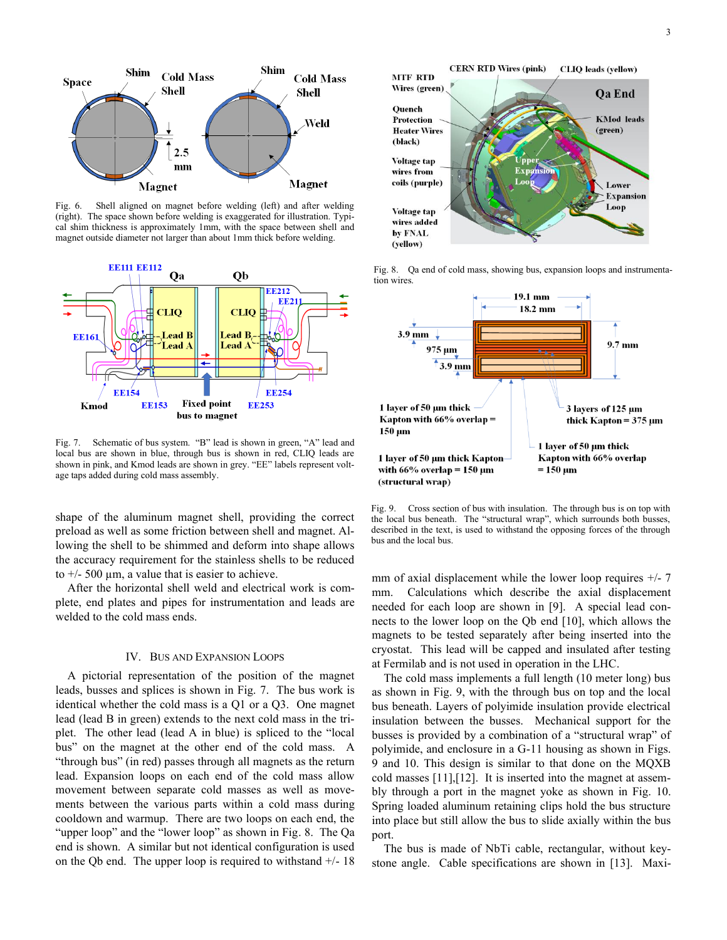

Fig. 6. Shell aligned on magnet before welding (left) and after welding (right). The space shown before welding is exaggerated for illustration. Typical shim thickness is approximately 1mm, with the space between shell and magnet outside diameter not larger than about 1mm thick before welding.



Fig. 7. Schematic of bus system. "B" lead is shown in green, "A" lead and local bus are shown in blue, through bus is shown in red, CLIQ leads are shown in pink, and Kmod leads are shown in grey. "EE" labels represent voltage taps added during cold mass assembly.

shape of the aluminum magnet shell, providing the correct preload as well as some friction between shell and magnet. Allowing the shell to be shimmed and deform into shape allows the accuracy requirement for the stainless shells to be reduced to  $\pm$ /- 500  $\mu$ m, a value that is easier to achieve.

After the horizontal shell weld and electrical work is complete, end plates and pipes for instrumentation and leads are welded to the cold mass ends.

## IV. BUS AND EXPANSION LOOPS

A pictorial representation of the position of the magnet leads, busses and splices is shown in Fig. 7. The bus work is identical whether the cold mass is a Q1 or a Q3. One magnet lead (lead B in green) extends to the next cold mass in the triplet. The other lead (lead A in blue) is spliced to the "local bus" on the magnet at the other end of the cold mass. A "through bus" (in red) passes through all magnets as the return lead. Expansion loops on each end of the cold mass allow movement between separate cold masses as well as movements between the various parts within a cold mass during cooldown and warmup. There are two loops on each end, the "upper loop" and the "lower loop" as shown in Fig. 8. The Qa end is shown. A similar but not identical configuration is used on the Qb end. The upper loop is required to withstand  $+/-18$ 



Fig. 8. Qa end of cold mass, showing bus, expansion loops and instrumentation wires.



Fig. 9. Cross section of bus with insulation. The through bus is on top with the local bus beneath. The "structural wrap", which surrounds both busses, described in the text, is used to withstand the opposing forces of the through bus and the local bus.

mm of axial displacement while the lower loop requires  $+/- 7$ mm. Calculations which describe the axial displacement needed for each loop are shown in [9]. A special lead connects to the lower loop on the Qb end [10], which allows the magnets to be tested separately after being inserted into the cryostat. This lead will be capped and insulated after testing at Fermilab and is not used in operation in the LHC.

The cold mass implements a full length (10 meter long) bus as shown in Fig. 9, with the through bus on top and the local bus beneath. Layers of polyimide insulation provide electrical insulation between the busses. Mechanical support for the busses is provided by a combination of a "structural wrap" of polyimide, and enclosure in a G-11 housing as shown in Figs. 9 and 10. This design is similar to that done on the MQXB cold masses [11],[12]. It is inserted into the magnet at assembly through a port in the magnet yoke as shown in Fig. 10. Spring loaded aluminum retaining clips hold the bus structure into place but still allow the bus to slide axially within the bus port.

The bus is made of NbTi cable, rectangular, without keystone angle. Cable specifications are shown in [13]. Maxi-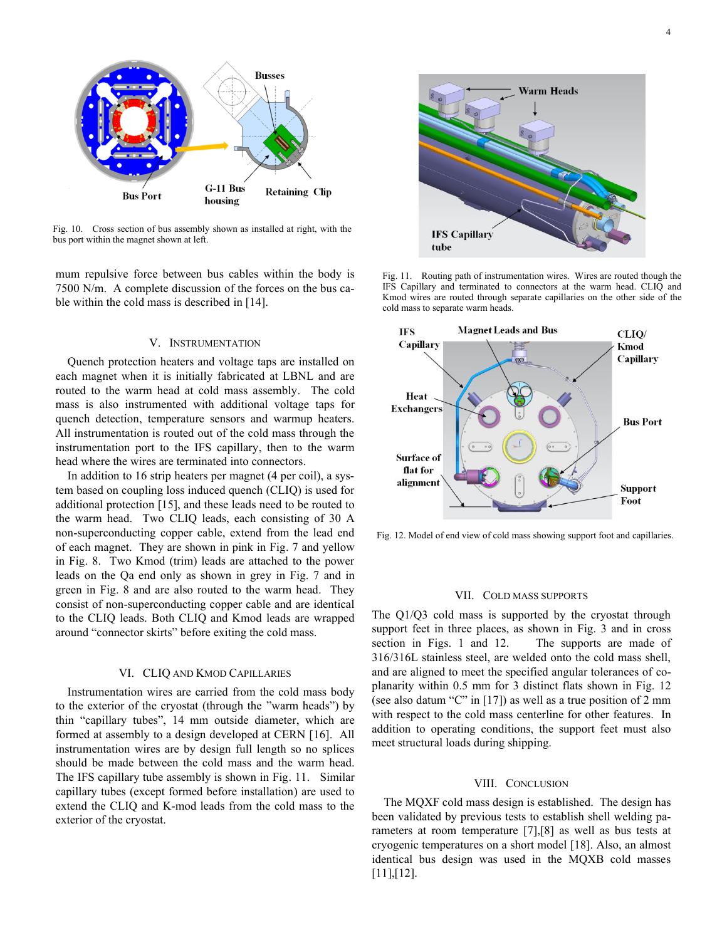

Fig. 10. Cross section of bus assembly shown as installed at right, with the bus port within the magnet shown at left.

mum repulsive force between bus cables within the body is 7500 N/m. A complete discussion of the forces on the bus cable within the cold mass is described in [14].

### V. INSTRUMENTATION

Quench protection heaters and voltage taps are installed on each magnet when it is initially fabricated at LBNL and are routed to the warm head at cold mass assembly. The cold mass is also instrumented with additional voltage taps for quench detection, temperature sensors and warmup heaters. All instrumentation is routed out of the cold mass through the instrumentation port to the IFS capillary, then to the warm head where the wires are terminated into connectors.

In addition to 16 strip heaters per magnet (4 per coil), a system based on coupling loss induced quench (CLIQ) is used for additional protection [15], and these leads need to be routed to the warm head. Two CLIQ leads, each consisting of 30 A non-superconducting copper cable, extend from the lead end of each magnet. They are shown in pink in Fig. 7 and yellow in Fig. 8. Two Kmod (trim) leads are attached to the power leads on the Qa end only as shown in grey in Fig. 7 and in green in Fig. 8 and are also routed to the warm head. They consist of non-superconducting copper cable and are identical to the CLIQ leads. Both CLIQ and Kmod leads are wrapped around "connector skirts" before exiting the cold mass.

# VI. CLIQ AND KMOD CAPILLARIES

Instrumentation wires are carried from the cold mass body to the exterior of the cryostat (through the "warm heads") by thin "capillary tubes", 14 mm outside diameter, which are formed at assembly to a design developed at CERN [16]. All instrumentation wires are by design full length so no splices should be made between the cold mass and the warm head. The IFS capillary tube assembly is shown in Fig. 11. Similar capillary tubes (except formed before installation) are used to extend the CLIQ and K-mod leads from the cold mass to the exterior of the cryostat.



Fig. 11. Routing path of instrumentation wires. Wires are routed though the IFS Capillary and terminated to connectors at the warm head. CLIQ and Kmod wires are routed through separate capillaries on the other side of the cold mass to separate warm heads.



Fig. 12. Model of end view of cold mass showing support foot and capillaries.

#### VII. COLD MASS SUPPORTS

The Q1/Q3 cold mass is supported by the cryostat through support feet in three places, as shown in Fig. 3 and in cross section in Figs. 1 and 12. The supports are made of 316/316L stainless steel, are welded onto the cold mass shell, and are aligned to meet the specified angular tolerances of coplanarity within 0.5 mm for 3 distinct flats shown in Fig. 12 (see also datum "C" in [17]) as well as a true position of 2 mm with respect to the cold mass centerline for other features. In addition to operating conditions, the support feet must also meet structural loads during shipping.

### VIII. CONCLUSION

The MQXF cold mass design is established. The design has been validated by previous tests to establish shell welding parameters at room temperature [7],[8] as well as bus tests at cryogenic temperatures on a short model [18]. Also, an almost identical bus design was used in the MQXB cold masses [11],[12].